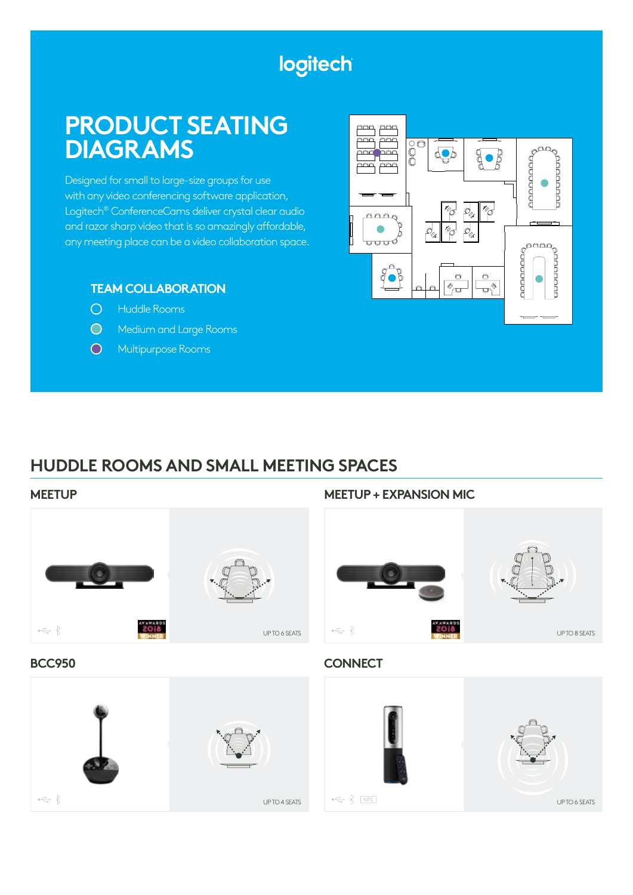# logitech

# **PRODUCT SEATING DIAGRAMS**

Designed for small to large-size groups for use with any video conferencing software application, Logitech® ConferenceCams deliver crystal clear audio and razor sharp video that is so amazingly affordable, any meeting place can be a video collaboration space.

## **TEAM COLLABORATION**

- Huddle Rooms
- $\bigcirc$ Medium and Large Rooms
- Multipurpose Rooms  $\bigcirc$



## **HUDDLE ROOMS AND SMALL MEETING SPACES**



### **MEETUP MEETUP + EXPANSION MIC**





## **BCC950 CONNECT**